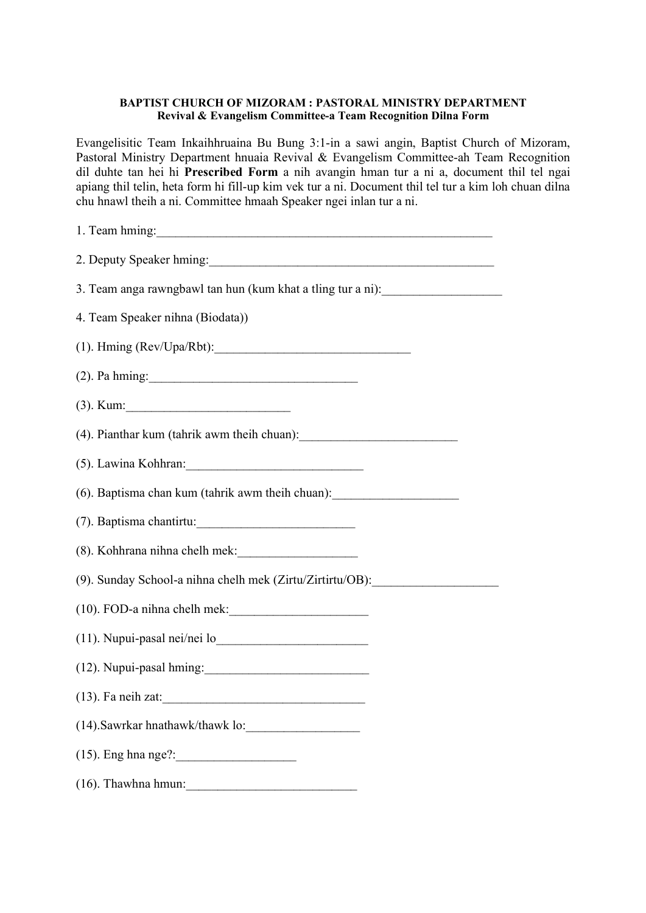## BAPTIST CHURCH OF MIZORAM : PASTORAL MINISTRY DEPARTMENT Revival & Evangelism Committee-a Team Recognition Dilna Form

Evangelisitic Team Inkaihhruaina Bu Bung 3:1-in a sawi angin, Baptist Church of Mizoram, Pastoral Ministry Department hnuaia Revival & Evangelism Committee-ah Team Recognition dil duhte tan hei hi Prescribed Form a nih avangin hman tur a ni a, document thil tel ngai apiang thil telin, heta form hi fill-up kim vek tur a ni. Document thil tel tur a kim loh chuan dilna chu hnawl theih a ni. Committee hmaah Speaker ngei inlan tur a ni.

| 1. Team hming:                                                                   |  |  |  |
|----------------------------------------------------------------------------------|--|--|--|
| 2. Deputy Speaker hming:                                                         |  |  |  |
| 3. Team anga rawngbawl tan hun (kum khat a tling tur a ni):                      |  |  |  |
| 4. Team Speaker nihna (Biodata))                                                 |  |  |  |
| $(1)$ . Hming (Rev/Upa/Rbt):                                                     |  |  |  |
| $(2)$ . Pa hming:                                                                |  |  |  |
| $(3)$ . Kum:                                                                     |  |  |  |
| (4). Pianthar kum (tahrik awm theih chuan):                                      |  |  |  |
|                                                                                  |  |  |  |
| (6). Baptisma chan kum (tahrik awm theih chuan): _______________________________ |  |  |  |
| (7). Baptisma chantirtu:                                                         |  |  |  |
|                                                                                  |  |  |  |
| (9). Sunday School-a nihna chelh mek (Zirtu/Zirtirtu/OB): ______________________ |  |  |  |
|                                                                                  |  |  |  |
|                                                                                  |  |  |  |
| (12). Nupui-pasal hming:                                                         |  |  |  |
| $(13)$ . Fa neih zat:                                                            |  |  |  |
|                                                                                  |  |  |  |
|                                                                                  |  |  |  |
|                                                                                  |  |  |  |